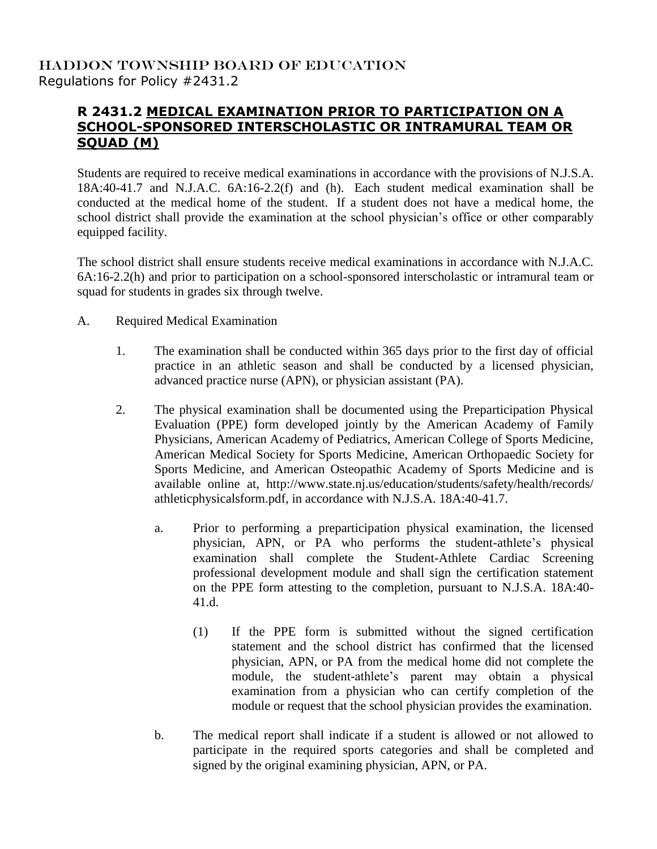## HADDON TOWNSHIP BOARD OF EDUCATION Regulations for Policy #2431.2

## **R 2431.2 MEDICAL EXAMINATION PRIOR TO PARTICIPATION ON A SCHOOL-SPONSORED INTERSCHOLASTIC OR INTRAMURAL TEAM OR SQUAD (M)**

Students are required to receive medical examinations in accordance with the provisions of N.J.S.A. 18A:40-41.7 and N.J.A.C. 6A:16-2.2(f) and (h). Each student medical examination shall be conducted at the medical home of the student. If a student does not have a medical home, the school district shall provide the examination at the school physician's office or other comparably equipped facility.

The school district shall ensure students receive medical examinations in accordance with N.J.A.C. 6A:16-2.2(h) and prior to participation on a school-sponsored interscholastic or intramural team or squad for students in grades six through twelve.

- A. Required Medical Examination
	- 1. The examination shall be conducted within 365 days prior to the first day of official practice in an athletic season and shall be conducted by a licensed physician, advanced practice nurse (APN), or physician assistant (PA).
	- 2. The physical examination shall be documented using the Preparticipation Physical Evaluation (PPE) form developed jointly by the American Academy of Family Physicians, American Academy of Pediatrics, American College of Sports Medicine, American Medical Society for Sports Medicine, American Orthopaedic Society for Sports Medicine, and American Osteopathic Academy of Sports Medicine and is available online at, http://www.state.nj.us/education/students/safety/health/records/ athleticphysicalsform.pdf, in accordance with N.J.S.A. 18A:40-41.7.
		- a. Prior to performing a preparticipation physical examination, the licensed physician, APN, or PA who performs the student-athlete's physical examination shall complete the Student-Athlete Cardiac Screening professional development module and shall sign the certification statement on the PPE form attesting to the completion, pursuant to N.J.S.A. 18A:40- 41.d.
			- (1) If the PPE form is submitted without the signed certification statement and the school district has confirmed that the licensed physician, APN, or PA from the medical home did not complete the module, the student-athlete's parent may obtain a physical examination from a physician who can certify completion of the module or request that the school physician provides the examination.
		- b. The medical report shall indicate if a student is allowed or not allowed to participate in the required sports categories and shall be completed and signed by the original examining physician, APN, or PA.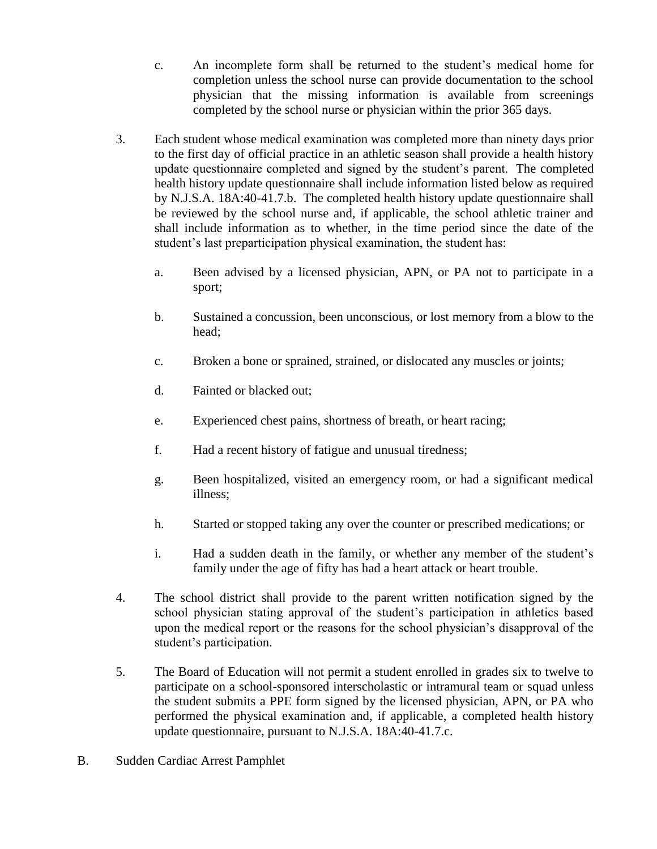- c. An incomplete form shall be returned to the student's medical home for completion unless the school nurse can provide documentation to the school physician that the missing information is available from screenings completed by the school nurse or physician within the prior 365 days.
- 3. Each student whose medical examination was completed more than ninety days prior to the first day of official practice in an athletic season shall provide a health history update questionnaire completed and signed by the student's parent. The completed health history update questionnaire shall include information listed below as required by N.J.S.A. 18A:40-41.7.b. The completed health history update questionnaire shall be reviewed by the school nurse and, if applicable, the school athletic trainer and shall include information as to whether, in the time period since the date of the student's last preparticipation physical examination, the student has:
	- a. Been advised by a licensed physician, APN, or PA not to participate in a sport;
	- b. Sustained a concussion, been unconscious, or lost memory from a blow to the head;
	- c. Broken a bone or sprained, strained, or dislocated any muscles or joints;
	- d. Fainted or blacked out;
	- e. Experienced chest pains, shortness of breath, or heart racing;
	- f. Had a recent history of fatigue and unusual tiredness;
	- g. Been hospitalized, visited an emergency room, or had a significant medical illness;
	- h. Started or stopped taking any over the counter or prescribed medications; or
	- i. Had a sudden death in the family, or whether any member of the student's family under the age of fifty has had a heart attack or heart trouble.
- 4. The school district shall provide to the parent written notification signed by the school physician stating approval of the student's participation in athletics based upon the medical report or the reasons for the school physician's disapproval of the student's participation.
- 5. The Board of Education will not permit a student enrolled in grades six to twelve to participate on a school-sponsored interscholastic or intramural team or squad unless the student submits a PPE form signed by the licensed physician, APN, or PA who performed the physical examination and, if applicable, a completed health history update questionnaire, pursuant to N.J.S.A. 18A:40-41.7.c.
- B. Sudden Cardiac Arrest Pamphlet